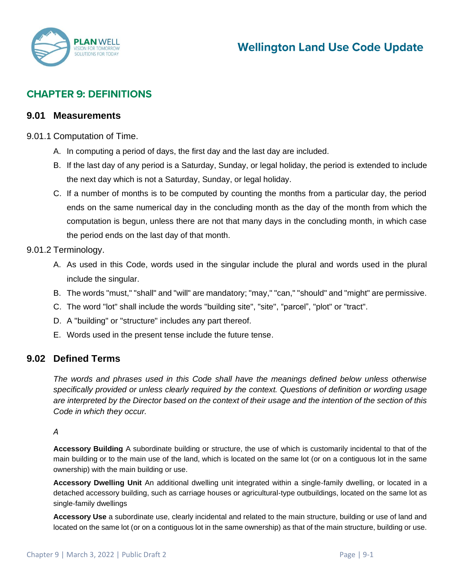

# **CHAPTER 9: DEFINITIONS**

### **9.01 Measurements**

### 9.01.1 Computation of Time.

- A. In computing a period of days, the first day and the last day are included.
- B. If the last day of any period is a Saturday, Sunday, or legal holiday, the period is extended to include the next day which is not a Saturday, Sunday, or legal holiday.
- C. If a number of months is to be computed by counting the months from a particular day, the period ends on the same numerical day in the concluding month as the day of the month from which the computation is begun, unless there are not that many days in the concluding month, in which case the period ends on the last day of that month.

### 9.01.2 Terminology.

- A. As used in this Code, words used in the singular include the plural and words used in the plural include the singular.
- B. The words "must," "shall" and "will" are mandatory; "may," "can," "should" and "might" are permissive.
- C. The word "lot" shall include the words "building site", "site", "parcel", "plot" or "tract".
- D. A "building" or "structure" includes any part thereof.
- E. Words used in the present tense include the future tense.

# **9.02 Defined Terms**

*The words and phrases used in this Code shall have the meanings defined below unless otherwise specifically provided or unless clearly required by the context. Questions of definition or wording usage are interpreted by the Director based on the context of their usage and the intention of the section of this Code in which they occur.*

### *A*

**Accessory Building** A subordinate building or structure, the use of which is customarily incidental to that of the main building or to the main use of the land, which is located on the same lot (or on a contiguous lot in the same ownership) with the main building or use.

**Accessory Dwelling Unit** An additional dwelling unit integrated within a single‐family dwelling, or located in a detached accessory building, such as carriage houses or agricultural‐type outbuildings, located on the same lot as single‐family dwellings

**Accessory Use** a subordinate use, clearly incidental and related to the main structure, building or use of land and located on the same lot (or on a contiguous lot in the same ownership) as that of the main structure, building or use.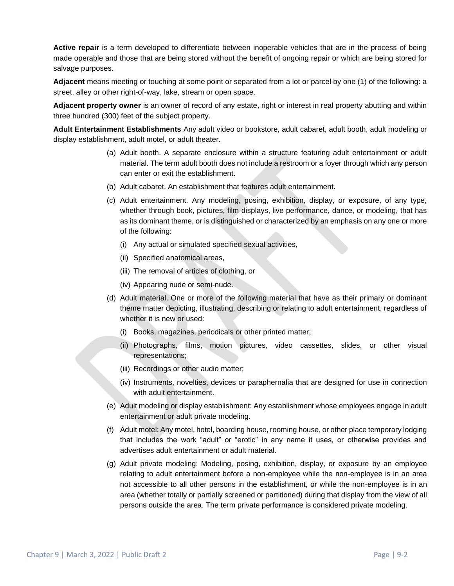**Active repair** is a term developed to differentiate between inoperable vehicles that are in the process of being made operable and those that are being stored without the benefit of ongoing repair or which are being stored for salvage purposes.

**Adjacent** means meeting or touching at some point or separated from a lot or parcel by one (1) of the following: a street, alley or other right-of-way, lake, stream or open space.

**Adjacent property owner** is an owner of record of any estate, right or interest in real property abutting and within three hundred (300) feet of the subject property.

**Adult Entertainment Establishments** Any adult video or bookstore, adult cabaret, adult booth, adult modeling or display establishment, adult motel, or adult theater.

- (a) Adult booth. A separate enclosure within a structure featuring adult entertainment or adult material. The term adult booth does not include a restroom or a foyer through which any person can enter or exit the establishment.
- (b) Adult cabaret. An establishment that features adult entertainment.
- (c) Adult entertainment. Any modeling, posing, exhibition, display, or exposure, of any type, whether through book, pictures, film displays, live performance, dance, or modeling, that has as its dominant theme, or is distinguished or characterized by an emphasis on any one or more of the following:
	- (i) Any actual or simulated specified sexual activities,
	- (ii) Specified anatomical areas,
	- (iii) The removal of articles of clothing, or
	- (iv) Appearing nude or semi-nude.
- (d) Adult material. One or more of the following material that have as their primary or dominant theme matter depicting, illustrating, describing or relating to adult entertainment, regardless of whether it is new or used:
	- (i) Books, magazines, periodicals or other printed matter;
	- (ii) Photographs, films, motion pictures, video cassettes, slides, or other visual representations;
	- (iii) Recordings or other audio matter;
	- (iv) Instruments, novelties, devices or paraphernalia that are designed for use in connection with adult entertainment.
- (e) Adult modeling or display establishment: Any establishment whose employees engage in adult entertainment or adult private modeling.
- (f) Adult motel: Any motel, hotel, boarding house, rooming house, or other place temporary lodging that includes the work "adult" or "erotic" in any name it uses, or otherwise provides and advertises adult entertainment or adult material.
- (g) Adult private modeling: Modeling, posing, exhibition, display, or exposure by an employee relating to adult entertainment before a non-employee while the non-employee is in an area not accessible to all other persons in the establishment, or while the non-employee is in an area (whether totally or partially screened or partitioned) during that display from the view of all persons outside the area. The term private performance is considered private modeling.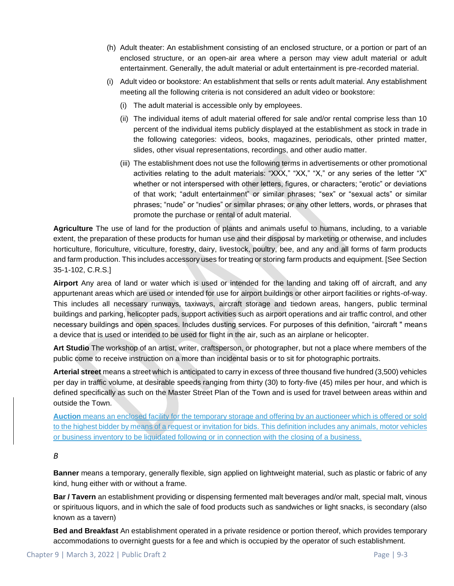- (h) Adult theater: An establishment consisting of an enclosed structure, or a portion or part of an enclosed structure, or an open-air area where a person may view adult material or adult entertainment. Generally, the adult material or adult entertainment is pre-recorded material.
- (i) Adult video or bookstore: An establishment that sells or rents adult material. Any establishment meeting all the following criteria is not considered an adult video or bookstore:
	- (i) The adult material is accessible only by employees.
	- (ii) The individual items of adult material offered for sale and/or rental comprise less than 10 percent of the individual items publicly displayed at the establishment as stock in trade in the following categories: videos, books, magazines, periodicals, other printed matter, slides, other visual representations, recordings, and other audio matter.
	- (iii) The establishment does not use the following terms in advertisements or other promotional activities relating to the adult materials: "XXX," "XX," "X," or any series of the letter "X" whether or not interspersed with other letters, figures, or characters; "erotic" or deviations of that work; "adult entertainment" or similar phrases; "sex" or "sexual acts" or similar phrases; "nude" or "nudies" or similar phrases; or any other letters, words, or phrases that promote the purchase or rental of adult material.

**Agriculture** The use of land for the production of plants and animals useful to humans, including, to a variable extent, the preparation of these products for human use and their disposal by marketing or otherwise, and includes horticulture, floriculture, viticulture, forestry, dairy, livestock, poultry, bee, and any and all forms of farm products and farm production. This includes accessory uses for treating or storing farm products and equipment. [See Section 35-1-102, C.R.S.]

**Airport** Any area of land or water which is used or intended for the landing and taking off of aircraft, and any appurtenant areas which are used or intended for use for airport buildings or other airport facilities or rights-of-way. This includes all necessary runways, taxiways, aircraft storage and tiedown areas, hangers, public terminal buildings and parking, helicopter pads, support activities such as airport operations and air traffic control, and other necessary buildings and open spaces. Includes dusting services. For purposes of this definition, "aircraft " means a device that is used or intended to be used for flight in the air, such as an airplane or helicopter.

**Art Studio** The workshop of an artist, writer, craftsperson, or photographer, but not a place where members of the public come to receive instruction on a more than incidental basis or to sit for photographic portraits.

**Arterial street** means a street which is anticipated to carry in excess of three thousand five hundred (3,500) vehicles per day in traffic volume, at desirable speeds ranging from thirty (30) to forty-five (45) miles per hour, and which is defined specifically as such on the Master Street Plan of the Town and is used for travel between areas within and outside the Town.

**Auction** means an enclosed facility for the temporary storage and offering by an auctioneer which is offered or sold to the highest bidder by means of a request or invitation for bids. This definition includes any animals, motor vehicles or business inventory to be liquidated following or in connection with the closing of a business.

### *B*

**Banner** means a temporary, generally flexible, sign applied on lightweight material, such as plastic or fabric of any kind, hung either with or without a frame.

**Bar / Tavern** an establishment providing or dispensing fermented malt beverages and/or malt, special malt, vinous or spirituous liquors, and in which the sale of food products such as sandwiches or light snacks, is secondary (also known as a tavern)

**Bed and Breakfast** An establishment operated in a private residence or portion thereof, which provides temporary accommodations to overnight guests for a fee and which is occupied by the operator of such establishment.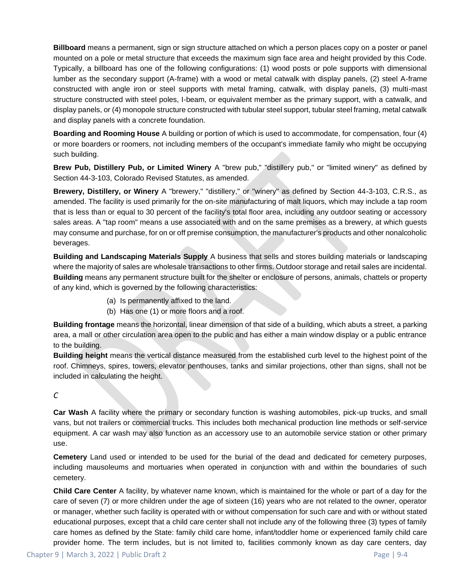**Billboard** means a permanent, sign or sign structure attached on which a person places copy on a poster or panel mounted on a pole or metal structure that exceeds the maximum sign face area and height provided by this Code. Typically, a billboard has one of the following configurations: (1) wood posts or pole supports with dimensional lumber as the secondary support (A-frame) with a wood or metal catwalk with display panels, (2) steel A-frame constructed with angle iron or steel supports with metal framing, catwalk, with display panels, (3) multi-mast structure constructed with steel poles, I-beam, or equivalent member as the primary support, with a catwalk, and display panels, or (4) monopole structure constructed with tubular steel support, tubular steel framing, metal catwalk and display panels with a concrete foundation.

**Boarding and Rooming House** A building or portion of which is used to accommodate, for compensation, four (4) or more boarders or roomers, not including members of the occupant's immediate family who might be occupying such building.

**Brew Pub, Distillery Pub, or Limited Winery** A "brew pub," "distillery pub," or "limited winery" as defined by Section 44-3-103, Colorado Revised Statutes, as amended.

**Brewery, Distillery, or Winery** A "brewery," "distillery," or "winery" as defined by Section 44-3-103, C.R.S., as amended. The facility is used primarily for the on-site manufacturing of malt liquors, which may include a tap room that is less than or equal to 30 percent of the facility's total floor area, including any outdoor seating or accessory sales areas. A "tap room" means a use associated with and on the same premises as a brewery, at which guests may consume and purchase, for on or off premise consumption, the manufacturer's products and other nonalcoholic beverages.

**Building and Landscaping Materials Supply** A business that sells and stores building materials or landscaping where the majority of sales are wholesale transactions to other firms. Outdoor storage and retail sales are incidental. **Building** means any permanent structure built for the shelter or enclosure of persons, animals, chattels or property of any kind, which is governed by the following characteristics:

- (a) Is permanently affixed to the land.
- (b) Has one (1) or more floors and a roof.

**Building frontage** means the horizontal, linear dimension of that side of a building, which abuts a street, a parking area, a mall or other circulation area open to the public and has either a main window display or a public entrance to the building.

**Building height** means the vertical distance measured from the established curb level to the highest point of the roof. Chimneys, spires, towers, elevator penthouses, tanks and similar projections, other than signs, shall not be included in calculating the height.

### *C*

**Car Wash** A facility where the primary or secondary function is washing automobiles, pick-up trucks, and small vans, but not trailers or commercial trucks. This includes both mechanical production line methods or self-service equipment. A car wash may also function as an accessory use to an automobile service station or other primary use.

**Cemetery** Land used or intended to be used for the burial of the dead and dedicated for cemetery purposes, including mausoleums and mortuaries when operated in conjunction with and within the boundaries of such cemetery.

**Child Care Center** A facility, by whatever name known, which is maintained for the whole or part of a day for the care of seven (7) or more children under the age of sixteen (16) years who are not related to the owner, operator or manager, whether such facility is operated with or without compensation for such care and with or without stated educational purposes, except that a child care center shall not include any of the following three (3) types of family care homes as defined by the State: family child care home, infant/toddler home or experienced family child care provider home. The term includes, but is not limited to, facilities commonly known as day care centers, day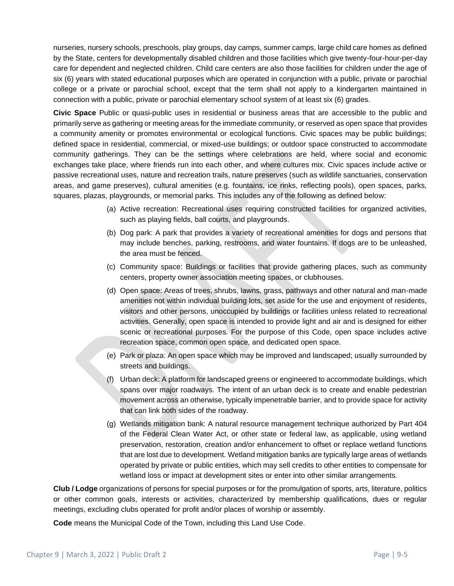nurseries, nursery schools, preschools, play groups, day camps, summer camps, large child care homes as defined by the State, centers for developmentally disabled children and those facilities which give twenty-four-hour-per-day care for dependent and neglected children. Child care centers are also those facilities for children under the age of six (6) years with stated educational purposes which are operated in conjunction with a public, private or parochial college or a private or parochial school, except that the term shall not apply to a kindergarten maintained in connection with a public, private or parochial elementary school system of at least six (6) grades.

**Civic Space** Public or quasi-public uses in residential or business areas that are accessible to the public and primarily serve as gathering or meeting areas for the immediate community, or reserved as open space that provides a community amenity or promotes environmental or ecological functions. Civic spaces may be public buildings; defined space in residential, commercial, or mixed-use buildings; or outdoor space constructed to accommodate community gatherings. They can be the settings where celebrations are held, where social and economic exchanges take place, where friends run into each other, and where cultures mix. Civic spaces include active or passive recreational uses, nature and recreation trails, nature preserves (such as wildlife sanctuaries, conservation areas, and game preserves), cultural amenities (e.g. fountains, ice rinks, reflecting pools), open spaces, parks, squares, plazas, playgrounds, or memorial parks. This includes any of the following as defined below:

- (a) Active recreation: Recreational uses requiring constructed facilities for organized activities, such as playing fields, ball courts, and playgrounds.
- (b) Dog park: A park that provides a variety of recreational amenities for dogs and persons that may include benches, parking, restrooms, and water fountains. If dogs are to be unleashed, the area must be fenced.
- (c) Community space: Buildings or facilities that provide gathering places, such as community centers, property owner association meeting spaces, or clubhouses.
- (d) Open space: Areas of trees, shrubs, lawns, grass, pathways and other natural and man-made amenities not within individual building lots, set aside for the use and enjoyment of residents, visitors and other persons, unoccupied by buildings or facilities unless related to recreational activities. Generally, open space is intended to provide light and air and is designed for either scenic or recreational purposes. For the purpose of this Code, open space includes active recreation space, common open space, and dedicated open space.
- (e) Park or plaza: An open space which may be improved and landscaped; usually surrounded by streets and buildings.
- (f) Urban deck: A platform for landscaped greens or engineered to accommodate buildings, which spans over major roadways. The intent of an urban deck is to create and enable pedestrian movement across an otherwise, typically impenetrable barrier, and to provide space for activity that can link both sides of the roadway.
- (g) Wetlands mitigation bank: A natural resource management technique authorized by Part 404 of the Federal Clean Water Act, or other state or federal law, as applicable, using wetland preservation, restoration, creation and/or enhancement to offset or replace wetland functions that are lost due to development. Wetland mitigation banks are typically large areas of wetlands operated by private or public entities, which may sell credits to other entities to compensate for wetland loss or impact at development sites or enter into other similar arrangements.

**Club / Lodge** organizations of persons for special purposes or for the promulgation of sports, arts, literature, politics or other common goals, interests or activities, characterized by membership qualifications, dues or regular meetings, excluding clubs operated for profit and/or places of worship or assembly.

**Code** means the Municipal Code of the Town, including this Land Use Code.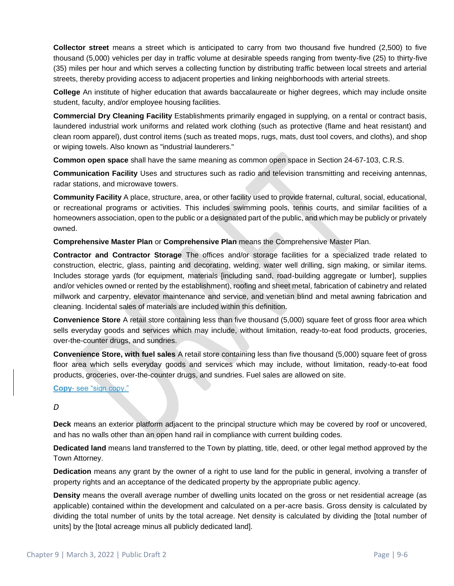**Collector street** means a street which is anticipated to carry from two thousand five hundred (2,500) to five thousand (5,000) vehicles per day in traffic volume at desirable speeds ranging from twenty-five (25) to thirty-five (35) miles per hour and which serves a collecting function by distributing traffic between local streets and arterial streets, thereby providing access to adjacent properties and linking neighborhoods with arterial streets.

**College** An institute of higher education that awards baccalaureate or higher degrees, which may include onsite student, faculty, and/or employee housing facilities.

**Commercial Dry Cleaning Facility** Establishments primarily engaged in supplying, on a rental or contract basis, laundered industrial work uniforms and related work clothing (such as protective (flame and heat resistant) and clean room apparel), dust control items (such as treated mops, rugs, mats, dust tool covers, and cloths), and shop or wiping towels. Also known as "industrial launderers."

**Common open space** shall have the same meaning as common open space in Section 24-67-103, C.R.S.

**Communication Facility** Uses and structures such as radio and television transmitting and receiving antennas, radar stations, and microwave towers.

**Community Facility** A place, structure, area, or other facility used to provide fraternal, cultural, social, educational, or recreational programs or activities. This includes swimming pools, tennis courts, and similar facilities of a homeowners association, open to the public or a designated part of the public, and which may be publicly or privately owned.

**Comprehensive Master Plan** or **Comprehensive Plan** means the Comprehensive Master Plan.

**Contractor and Contractor Storage** The offices and/or storage facilities for a specialized trade related to construction, electric, glass, painting and decorating, welding, water well drilling, sign making, or similar items. Includes storage yards (for equipment, materials [including sand, road-building aggregate or lumber], supplies and/or vehicles owned or rented by the establishment), roofing and sheet metal, fabrication of cabinetry and related millwork and carpentry, elevator maintenance and service, and venetian blind and metal awning fabrication and cleaning. Incidental sales of materials are included within this definition.

**Convenience Store** A retail store containing less than five thousand (5,000) square feet of gross floor area which sells everyday goods and services which may include, without limitation, ready-to-eat food products, groceries, over-the-counter drugs, and sundries.

**Convenience Store, with fuel sales** A retail store containing less than five thousand (5,000) square feet of gross floor area which sells everyday goods and services which may include, without limitation, ready-to-eat food products, groceries, over-the-counter drugs, and sundries. Fuel sales are allowed on site.

#### **Copy**- see "sign copy."

#### *D*

**Deck** means an exterior platform adjacent to the principal structure which may be covered by roof or uncovered, and has no walls other than an open hand rail in compliance with current building codes.

**Dedicated land** means land transferred to the Town by platting, title, deed, or other legal method approved by the Town Attorney.

**Dedication** means any grant by the owner of a right to use land for the public in general, involving a transfer of property rights and an acceptance of the dedicated property by the appropriate public agency.

**Density** means the overall average number of dwelling units located on the gross or net residential acreage (as applicable) contained within the development and calculated on a per-acre basis. Gross density is calculated by dividing the total number of units by the total acreage. Net density is calculated by dividing the [total number of units] by the [total acreage minus all publicly dedicated land].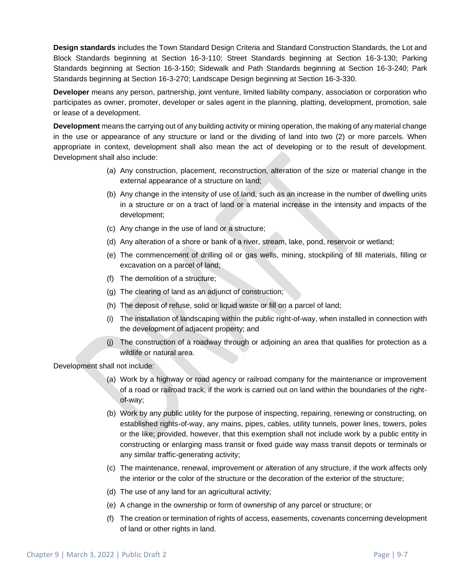**Design standards** includes the Town Standard Design Criteria and Standard Construction Standards, the Lot and Block Standards beginning at Section 16-3-110; Street Standards beginning at Section 16-3-130; Parking Standards beginning at Section 16-3-150; Sidewalk and Path Standards beginning at Section 16-3-240; Park Standards beginning at Section 16-3-270; Landscape Design beginning at Section 16-3-330.

**Developer** means any person, partnership, joint venture, limited liability company, association or corporation who participates as owner, promoter, developer or sales agent in the planning, platting, development, promotion, sale or lease of a development.

**Development** means the carrying out of any building activity or mining operation, the making of any material change in the use or appearance of any structure or land or the dividing of land into two (2) or more parcels. When appropriate in context, development shall also mean the act of developing or to the result of development. Development shall also include:

- (a) Any construction, placement, reconstruction, alteration of the size or material change in the external appearance of a structure on land;
- (b) Any change in the intensity of use of land, such as an increase in the number of dwelling units in a structure or on a tract of land or a material increase in the intensity and impacts of the development;
- (c) Any change in the use of land or a structure;
- (d) Any alteration of a shore or bank of a river, stream, lake, pond, reservoir or wetland;
- (e) The commencement of drilling oil or gas wells, mining, stockpiling of fill materials, filling or excavation on a parcel of land;
- (f) The demolition of a structure;
- (g) The clearing of land as an adjunct of construction;
- (h) The deposit of refuse, solid or liquid waste or fill on a parcel of land;
- (i) The installation of landscaping within the public right-of-way, when installed in connection with the development of adjacent property; and
- (j) The construction of a roadway through or adjoining an area that qualifies for protection as a wildlife or natural area.

Development shall not include:

- (a) Work by a highway or road agency or railroad company for the maintenance or improvement of a road or railroad track, if the work is carried out on land within the boundaries of the rightof-way;
- (b) Work by any public utility for the purpose of inspecting, repairing, renewing or constructing, on established rights-of-way, any mains, pipes, cables, utility tunnels, power lines, towers, poles or the like; provided, however, that this exemption shall not include work by a public entity in constructing or enlarging mass transit or fixed guide way mass transit depots or terminals or any similar traffic-generating activity;
- (c) The maintenance, renewal, improvement or alteration of any structure, if the work affects only the interior or the color of the structure or the decoration of the exterior of the structure;
- (d) The use of any land for an agricultural activity;
- (e) A change in the ownership or form of ownership of any parcel or structure; or
- (f) The creation or termination of rights of access, easements, covenants concerning development of land or other rights in land.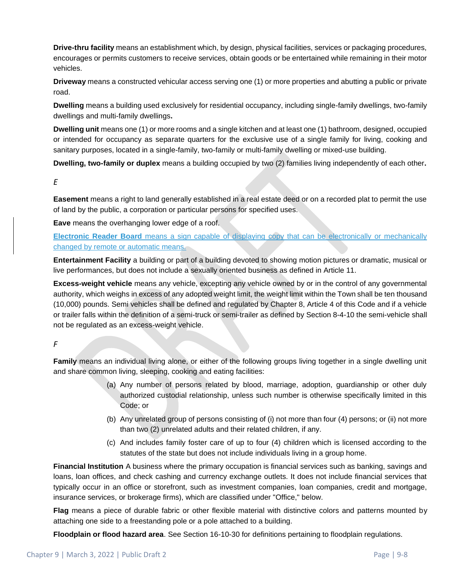**Drive-thru facility** means an establishment which, by design, physical facilities, services or packaging procedures, encourages or permits customers to receive services, obtain goods or be entertained while remaining in their motor vehicles.

**Driveway** means a constructed vehicular access serving one (1) or more properties and abutting a public or private road.

**Dwelling** means a building used exclusively for residential occupancy, including single-family dwellings, two-family dwellings and multi-family dwellings**.** 

**Dwelling unit** means one (1) or more rooms and a single kitchen and at least one (1) bathroom, designed, occupied or intended for occupancy as separate quarters for the exclusive use of a single family for living, cooking and sanitary purposes, located in a single-family, two-family or multi-family dwelling or mixed-use building.

**Dwelling, two-family or duplex** means a building occupied by two (2) families living independently of each other**.**

#### *E*

**Easement** means a right to land generally established in a real estate deed or on a recorded plat to permit the use of land by the public, a corporation or particular persons for specified uses.

**Eave** means the overhanging lower edge of a roof.

**Electronic Reader Board** means a sign capable of displaying copy that can be electronically or mechanically changed by remote or automatic means.

**Entertainment Facility** a building or part of a building devoted to showing motion pictures or dramatic, musical or live performances, but does not include a sexually oriented business as defined in Article 11.

**Excess-weight vehicle** means any vehicle, excepting any vehicle owned by or in the control of any governmental authority, which weighs in excess of any adopted weight limit, the weight limit within the Town shall be ten thousand (10,000) pounds. Semi vehicles shall be defined and regulated by Chapter 8, Article 4 of this Code and if a vehicle or trailer falls within the definition of a semi-truck or semi-trailer as defined by Section 8-4-10 the semi-vehicle shall not be regulated as an excess-weight vehicle.

### *F*

**Family** means an individual living alone, or either of the following groups living together in a single dwelling unit and share common living, sleeping, cooking and eating facilities:

- (a) Any number of persons related by blood, marriage, adoption, guardianship or other duly authorized custodial relationship, unless such number is otherwise specifically limited in this Code; or
- (b) Any unrelated group of persons consisting of (i) not more than four (4) persons; or (ii) not more than two (2) unrelated adults and their related children, if any.
- (c) And includes family foster care of up to four (4) children which is licensed according to the statutes of the state but does not include individuals living in a group home.

**Financial Institution** A business where the primary occupation is financial services such as banking, savings and loans, loan offices, and check cashing and currency exchange outlets. It does not include financial services that typically occur in an office or storefront, such as investment companies, loan companies, credit and mortgage, insurance services, or brokerage firms), which are classified under "Office," below.

**Flag** means a piece of durable fabric or other flexible material with distinctive colors and patterns mounted by attaching one side to a freestanding pole or a pole attached to a building.

**Floodplain or flood hazard area**. See Section 16-10-30 for definitions pertaining to floodplain regulations.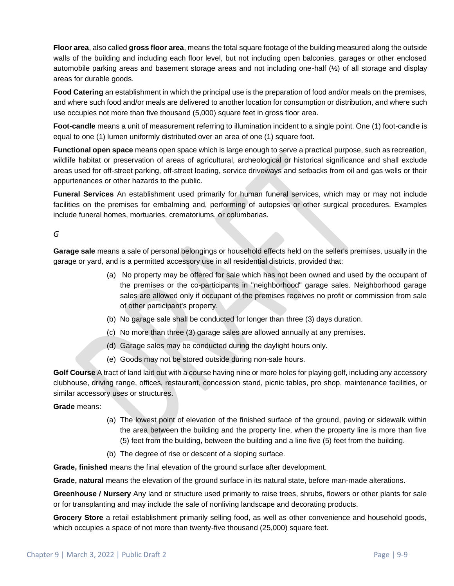**Floor area**, also called **gross floor area**, means the total square footage of the building measured along the outside walls of the building and including each floor level, but not including open balconies, garages or other enclosed automobile parking areas and basement storage areas and not including one-half (½) of all storage and display areas for durable goods.

**Food Catering** an establishment in which the principal use is the preparation of food and/or meals on the premises, and where such food and/or meals are delivered to another location for consumption or distribution, and where such use occupies not more than five thousand (5,000) square feet in gross floor area.

**Foot-candle** means a unit of measurement referring to illumination incident to a single point. One (1) foot-candle is equal to one (1) lumen uniformly distributed over an area of one (1) square foot.

**Functional open space** means open space which is large enough to serve a practical purpose, such as recreation, wildlife habitat or preservation of areas of agricultural, archeological or historical significance and shall exclude areas used for off-street parking, off-street loading, service driveways and setbacks from oil and gas wells or their appurtenances or other hazards to the public.

**Funeral Services** An establishment used primarily for human funeral services, which may or may not include facilities on the premises for embalming and, performing of autopsies or other surgical procedures. Examples include funeral homes, mortuaries, crematoriums, or columbarias.

### *G*

**Garage sale** means a sale of personal belongings or household effects held on the seller's premises, usually in the garage or yard, and is a permitted accessory use in all residential districts, provided that:

- (a) No property may be offered for sale which has not been owned and used by the occupant of the premises or the co-participants in "neighborhood" garage sales. Neighborhood garage sales are allowed only if occupant of the premises receives no profit or commission from sale of other participant's property.
- (b) No garage sale shall be conducted for longer than three (3) days duration.
- (c) No more than three (3) garage sales are allowed annually at any premises.
- (d) Garage sales may be conducted during the daylight hours only.
- (e) Goods may not be stored outside during non-sale hours.

**Golf Course** A tract of land laid out with a course having nine or more holes for playing golf, including any accessory clubhouse, driving range, offices, restaurant, concession stand, picnic tables, pro shop, maintenance facilities, or similar accessory uses or structures.

**Grade** means:

- (a) The lowest point of elevation of the finished surface of the ground, paving or sidewalk within the area between the building and the property line, when the property line is more than five (5) feet from the building, between the building and a line five (5) feet from the building.
- (b) The degree of rise or descent of a sloping surface.

**Grade, finished** means the final elevation of the ground surface after development.

**Grade, natural** means the elevation of the ground surface in its natural state, before man-made alterations.

**Greenhouse / Nursery** Any land or structure used primarily to raise trees, shrubs, flowers or other plants for sale or for transplanting and may include the sale of nonliving landscape and decorating products.

**Grocery Store** a retail establishment primarily selling food, as well as other convenience and household goods, which occupies a space of not more than twenty-five thousand (25,000) square feet.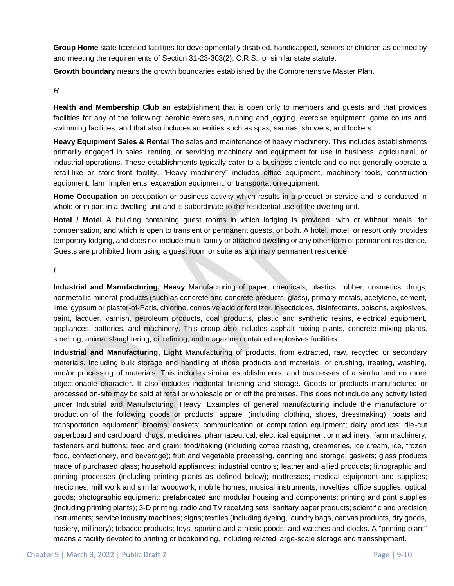**Group Home** state-licensed facilities for developmentally disabled, handicapped, seniors or children as defined by and meeting the requirements of Section 31-23-303(2), C.R.S., or similar state statute.

**Growth boundary** means the growth boundaries established by the Comprehensive Master Plan.

#### *H*

**Health and Membership Club** an establishment that is open only to members and guests and that provides facilities for any of the following: aerobic exercises, running and jogging, exercise equipment, game courts and swimming facilities, and that also includes amenities such as spas, saunas, showers, and lockers.

**Heavy Equipment Sales & Rental** The sales and maintenance of heavy machinery. This includes establishments primarily engaged in sales, renting, or servicing machinery and equipment for use in business, agricultural, or industrial operations. These establishments typically cater to a business clientele and do not generally operate a retail-like or store-front facility. "Heavy machinery" includes office equipment, machinery tools, construction equipment, farm implements, excavation equipment, or transportation equipment.

**Home Occupation** an occupation or business activity which results in a product or service and is conducted in whole or in part in a dwelling unit and is subordinate to the residential use of the dwelling unit.

**Hotel / Motel** A building containing guest rooms in which lodging is provided, with or without meals, for compensation, and which is open to transient or permanent guests, or both. A hotel, motel, or resort only provides temporary lodging, and does not include multi-family or attached dwelling or any other form of permanent residence. Guests are prohibited from using a guest room or suite as a primary permanent residence.

*I*

**Industrial and Manufacturing, Heavy** Manufacturing of paper, chemicals, plastics, rubber, cosmetics, drugs, nonmetallic mineral products (such as concrete and concrete products, glass), primary metals, acetylene, cement, lime, gypsum or plaster-of-Paris, chlorine, corrosive acid or fertilizer, insecticides, disinfectants, poisons, explosives, paint, lacquer, varnish, petroleum products, coal products, plastic and synthetic resins, electrical equipment, appliances, batteries, and machinery. This group also includes asphalt mixing plants, concrete mixing plants, smelting, animal slaughtering, oil refining, and magazine contained explosives facilities.

**Industrial and Manufacturing, Light** Manufacturing of products, from extracted, raw, recycled or secondary materials, including bulk storage and handling of those products and materials, or crushing, treating, washing, and/or processing of materials. This includes similar establishments, and businesses of a similar and no more objectionable character. It also includes incidental finishing and storage. Goods or products manufactured or processed on-site may be sold at retail or wholesale on or off the premises. This does not include any activity listed under Industrial and Manufacturing, Heavy. Examples of general manufacturing include the manufacture or production of the following goods or products: apparel (including clothing, shoes, dressmaking); boats and transportation equipment; brooms; caskets; communication or computation equipment; dairy products; die-cut paperboard and cardboard; drugs, medicines, pharmaceutical; electrical equipment or machinery; farm machinery; fasteners and buttons; feed and grain; food/baking (including coffee roasting, creameries, ice cream, ice, frozen food, confectionery, and beverage); fruit and vegetable processing, canning and storage; gaskets; glass products made of purchased glass; household appliances; industrial controls; leather and allied products; lithographic and printing processes (including printing plants as defined below); mattresses; medical equipment and supplies; medicines; mill work and similar woodwork; mobile homes; musical instruments; novelties; office supplies; optical goods; photographic equipment; prefabricated and modular housing and components; printing and print supplies (including printing plants); 3-D printing, radio and TV receiving sets; sanitary paper products; scientific and precision instruments; service industry machines; signs; textiles (including dyeing, laundry bags, canvas products, dry goods, hosiery, millinery); tobacco products; toys, sporting and athletic goods; and watches and clocks. A "printing plant" means a facility devoted to printing or bookbinding, including related large-scale storage and transshipment.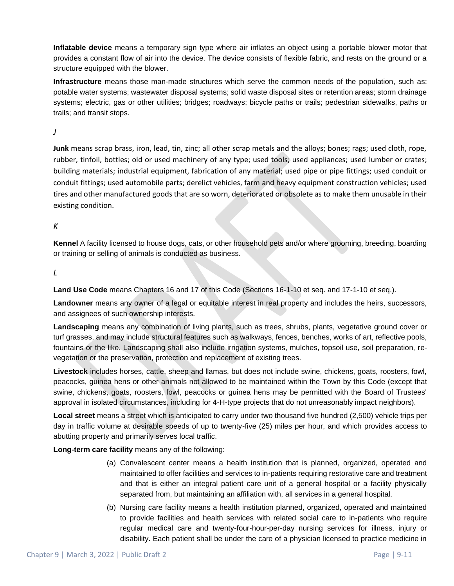**Inflatable device** means a temporary sign type where air inflates an object using a portable blower motor that provides a constant flow of air into the device. The device consists of flexible fabric, and rests on the ground or a structure equipped with the blower.

**Infrastructure** means those man-made structures which serve the common needs of the population, such as: potable water systems; wastewater disposal systems; solid waste disposal sites or retention areas; storm drainage systems; electric, gas or other utilities; bridges; roadways; bicycle paths or trails; pedestrian sidewalks, paths or trails; and transit stops.

*J*

**Junk** means scrap brass, iron, lead, tin, zinc; all other scrap metals and the alloys; bones; rags; used cloth, rope, rubber, tinfoil, bottles; old or used machinery of any type; used tools; used appliances; used lumber or crates; building materials; industrial equipment, fabrication of any material; used pipe or pipe fittings; used conduit or conduit fittings; used automobile parts; derelict vehicles, farm and heavy equipment construction vehicles; used tires and other manufactured goods that are so worn, deteriorated or obsolete as to make them unusable in their existing condition.

### *K*

**Kennel** A facility licensed to house dogs, cats, or other household pets and/or where grooming, breeding, boarding or training or selling of animals is conducted as business.

*L*

**Land Use Code** means Chapters 16 and 17 of this Code (Sections 16-1-10 et seq. and 17-1-10 et seq.).

**Landowner** means any owner of a legal or equitable interest in real property and includes the heirs, successors, and assignees of such ownership interests.

**Landscaping** means any combination of living plants, such as trees, shrubs, plants, vegetative ground cover or turf grasses, and may include structural features such as walkways, fences, benches, works of art, reflective pools, fountains or the like. Landscaping shall also include irrigation systems, mulches, topsoil use, soil preparation, revegetation or the preservation, protection and replacement of existing trees.

**Livestock** includes horses, cattle, sheep and llamas, but does not include swine, chickens, goats, roosters, fowl, peacocks, guinea hens or other animals not allowed to be maintained within the Town by this Code (except that swine, chickens, goats, roosters, fowl, peacocks or guinea hens may be permitted with the Board of Trustees' approval in isolated circumstances, including for 4-H-type projects that do not unreasonably impact neighbors).

**Local street** means a street which is anticipated to carry under two thousand five hundred (2,500) vehicle trips per day in traffic volume at desirable speeds of up to twenty-five (25) miles per hour, and which provides access to abutting property and primarily serves local traffic.

**Long-term care facility** means any of the following:

- (a) Convalescent center means a health institution that is planned, organized, operated and maintained to offer facilities and services to in-patients requiring restorative care and treatment and that is either an integral patient care unit of a general hospital or a facility physically separated from, but maintaining an affiliation with, all services in a general hospital.
- (b) Nursing care facility means a health institution planned, organized, operated and maintained to provide facilities and health services with related social care to in-patients who require regular medical care and twenty-four-hour-per-day nursing services for illness, injury or disability. Each patient shall be under the care of a physician licensed to practice medicine in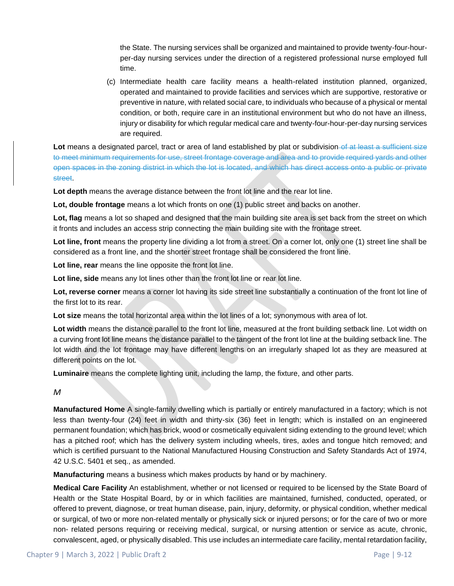the State. The nursing services shall be organized and maintained to provide twenty-four-hourper-day nursing services under the direction of a registered professional nurse employed full time.

(c) Intermediate health care facility means a health-related institution planned, organized, operated and maintained to provide facilities and services which are supportive, restorative or preventive in nature, with related social care, to individuals who because of a physical or mental condition, or both, require care in an institutional environment but who do not have an illness, injury or disability for which regular medical care and twenty-four-hour-per-day nursing services are required.

Lot means a designated parcel, tract or area of land established by plat or subdivision-of at least a sufficient size to meet minimum requirements for use, street frontage coverage and area and to provide required yards and other open spaces in the zoning district in which the lot is located, and which has direct access onto a public or private street.

**Lot depth** means the average distance between the front lot line and the rear lot line.

**Lot, double frontage** means a lot which fronts on one (1) public street and backs on another.

**Lot, flag** means a lot so shaped and designed that the main building site area is set back from the street on which it fronts and includes an access strip connecting the main building site with the frontage street.

**Lot line, front** means the property line dividing a lot from a street. On a corner lot, only one (1) street line shall be considered as a front line, and the shorter street frontage shall be considered the front line.

**Lot line, rear** means the line opposite the front lot line.

Lot line, side means any lot lines other than the front lot line or rear lot line.

**Lot, reverse corner** means a corner lot having its side street line substantially a continuation of the front lot line of the first lot to its rear.

**Lot size** means the total horizontal area within the lot lines of a lot; synonymous with area of lot.

Lot width means the distance parallel to the front lot line, measured at the front building setback line. Lot width on a curving front lot line means the distance parallel to the tangent of the front lot line at the building setback line. The lot width and the lot frontage may have different lengths on an irregularly shaped lot as they are measured at different points on the lot.

**Luminaire** means the complete lighting unit, including the lamp, the fixture, and other parts.

*M*

**Manufactured Home** A single-family dwelling which is partially or entirely manufactured in a factory; which is not less than twenty-four (24) feet in width and thirty-six (36) feet in length; which is installed on an engineered permanent foundation; which has brick, wood or cosmetically equivalent siding extending to the ground level; which has a pitched roof; which has the delivery system including wheels, tires, axles and tongue hitch removed; and which is certified pursuant to the National Manufactured Housing Construction and Safety Standards Act of 1974, 42 U.S.C. 5401 et seq., as amended.

**Manufacturing** means a business which makes products by hand or by machinery.

**Medical Care Facility** An establishment, whether or not licensed or required to be licensed by the State Board of Health or the State Hospital Board, by or in which facilities are maintained, furnished, conducted, operated, or offered to prevent, diagnose, or treat human disease, pain, injury, deformity, or physical condition, whether medical or surgical, of two or more non-related mentally or physically sick or injured persons; or for the care of two or more non- related persons requiring or receiving medical, surgical, or nursing attention or service as acute, chronic, convalescent, aged, or physically disabled. This use includes an intermediate care facility, mental retardation facility,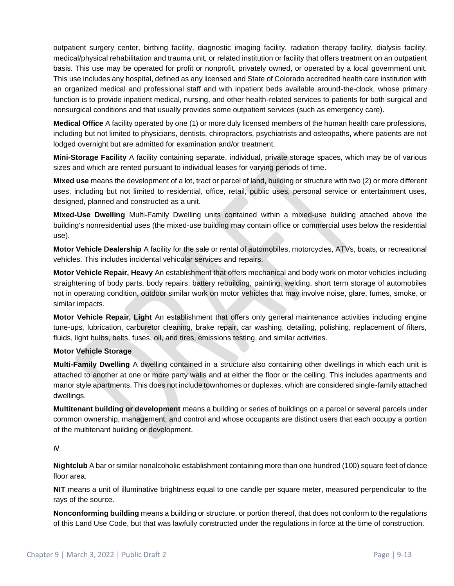outpatient surgery center, birthing facility, diagnostic imaging facility, radiation therapy facility, dialysis facility, medical/physical rehabilitation and trauma unit, or related institution or facility that offers treatment on an outpatient basis. This use may be operated for profit or nonprofit, privately owned, or operated by a local government unit. This use includes any hospital, defined as any licensed and State of Colorado accredited health care institution with an organized medical and professional staff and with inpatient beds available around-the-clock, whose primary function is to provide inpatient medical, nursing, and other health-related services to patients for both surgical and nonsurgical conditions and that usually provides some outpatient services (such as emergency care).

**Medical Office** A facility operated by one (1) or more duly licensed members of the human health care professions, including but not limited to physicians, dentists, chiropractors, psychiatrists and osteopaths, where patients are not lodged overnight but are admitted for examination and/or treatment.

**Mini-Storage Facility** A facility containing separate, individual, private storage spaces, which may be of various sizes and which are rented pursuant to individual leases for varying periods of time.

**Mixed use** means the development of a lot, tract or parcel of land, building or structure with two (2) or more different uses, including but not limited to residential, office, retail, public uses, personal service or entertainment uses, designed, planned and constructed as a unit.

**Mixed-Use Dwelling** Multi-Family Dwelling units contained within a mixed-use building attached above the building's nonresidential uses (the mixed-use building may contain office or commercial uses below the residential use).

**Motor Vehicle Dealership** A facility for the sale or rental of automobiles, motorcycles, ATVs, boats, or recreational vehicles. This includes incidental vehicular services and repairs.

**Motor Vehicle Repair, Heavy** An establishment that offers mechanical and body work on motor vehicles including straightening of body parts, body repairs, battery rebuilding, painting, welding, short term storage of automobiles not in operating condition, outdoor similar work on motor vehicles that may involve noise, glare, fumes, smoke, or similar impacts.

**Motor Vehicle Repair, Light** An establishment that offers only general maintenance activities including engine tune-ups, lubrication, carburetor cleaning, brake repair, car washing, detailing, polishing, replacement of filters, fluids, light bulbs, belts, fuses, oil, and tires, emissions testing, and similar activities.

### **Motor Vehicle Storage**

**Multi-Family Dwelling** A dwelling contained in a structure also containing other dwellings in which each unit is attached to another at one or more party walls and at either the floor or the ceiling. This includes apartments and manor style apartments. This does not include townhomes or duplexes, which are considered single-family attached dwellings.

**Multitenant building or development** means a building or series of buildings on a parcel or several parcels under common ownership, management, and control and whose occupants are distinct users that each occupy a portion of the multitenant building or development.

#### *N*

**Nightclub** A bar or similar nonalcoholic establishment containing more than one hundred (100) square feet of dance floor area.

**NIT** means a unit of illuminative brightness equal to one candle per square meter, measured perpendicular to the rays of the source.

**Nonconforming building** means a building or structure, or portion thereof, that does not conform to the regulations of this Land Use Code, but that was lawfully constructed under the regulations in force at the time of construction.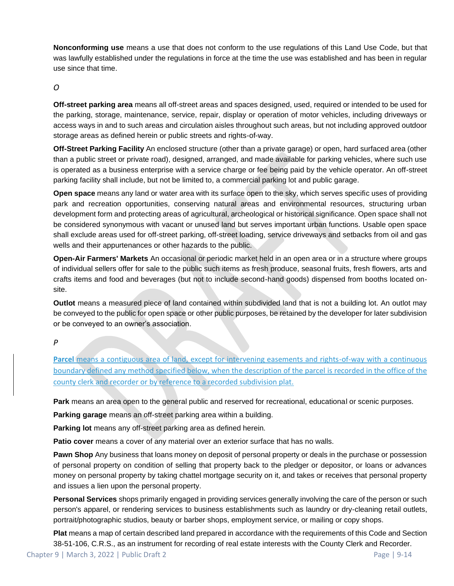**Nonconforming use** means a use that does not conform to the use regulations of this Land Use Code, but that was lawfully established under the regulations in force at the time the use was established and has been in regular use since that time.

### *O*

**Off-street parking area** means all off-street areas and spaces designed, used, required or intended to be used for the parking, storage, maintenance, service, repair, display or operation of motor vehicles, including driveways or access ways in and to such areas and circulation aisles throughout such areas, but not including approved outdoor storage areas as defined herein or public streets and rights-of-way.

**Off-Street Parking Facility** An enclosed structure (other than a private garage) or open, hard surfaced area (other than a public street or private road), designed, arranged, and made available for parking vehicles, where such use is operated as a business enterprise with a service charge or fee being paid by the vehicle operator. An off-street parking facility shall include, but not be limited to, a commercial parking lot and public garage.

**Open space** means any land or water area with its surface open to the sky, which serves specific uses of providing park and recreation opportunities, conserving natural areas and environmental resources, structuring urban development form and protecting areas of agricultural, archeological or historical significance. Open space shall not be considered synonymous with vacant or unused land but serves important urban functions. Usable open space shall exclude areas used for off-street parking, off-street loading, service driveways and setbacks from oil and gas wells and their appurtenances or other hazards to the public.

**Open-Air Farmers' Markets** An occasional or periodic market held in an open area or in a structure where groups of individual sellers offer for sale to the public such items as fresh produce, seasonal fruits, fresh flowers, arts and crafts items and food and beverages (but not to include second-hand goods) dispensed from booths located onsite.

**Outlot** means a measured piece of land contained within subdivided land that is not a building lot. An outlot may be conveyed to the public for open space or other public purposes, be retained by the developer for later subdivision or be conveyed to an owner's association.

### *P*

**Parcel** means a contiguous area of land, except for intervening easements and rights-of-way with a continuous boundary defined any method specified below, when the description of the parcel is recorded in the office of the county clerk and recorder or by reference to a recorded subdivision plat.

**Park** means an area open to the general public and reserved for recreational, educational or scenic purposes.

**Parking garage** means an off-street parking area within a building.

**Parking lot** means any off-street parking area as defined herein.

**Patio cover** means a cover of any material over an exterior surface that has no walls.

**Pawn Shop** Any business that loans money on deposit of personal property or deals in the purchase or possession of personal property on condition of selling that property back to the pledger or depositor, or loans or advances money on personal property by taking chattel mortgage security on it, and takes or receives that personal property and issues a lien upon the personal property.

**Personal Services** shops primarily engaged in providing services generally involving the care of the person or such person's apparel, or rendering services to business establishments such as laundry or dry-cleaning retail outlets, portrait/photographic studios, beauty or barber shops, employment service, or mailing or copy shops.

**Plat** means a map of certain described land prepared in accordance with the requirements of this Code and Section 38-51-106, C.R.S., as an instrument for recording of real estate interests with the County Clerk and Recorder.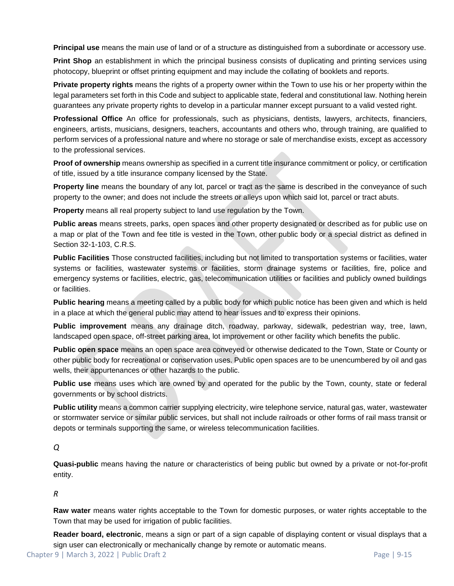**Principal use** means the main use of land or of a structure as distinguished from a subordinate or accessory use.

**Print Shop** an establishment in which the principal business consists of duplicating and printing services using photocopy, blueprint or offset printing equipment and may include the collating of booklets and reports.

**Private property rights** means the rights of a property owner within the Town to use his or her property within the legal parameters set forth in this Code and subject to applicable state, federal and constitutional law. Nothing herein guarantees any private property rights to develop in a particular manner except pursuant to a valid vested right.

**Professional Office** An office for professionals, such as physicians, dentists, lawyers, architects, financiers, engineers, artists, musicians, designers, teachers, accountants and others who, through training, are qualified to perform services of a professional nature and where no storage or sale of merchandise exists, except as accessory to the professional services.

**Proof of ownership** means ownership as specified in a current title insurance commitment or policy, or certification of title, issued by a title insurance company licensed by the State.

**Property line** means the boundary of any lot, parcel or tract as the same is described in the conveyance of such property to the owner; and does not include the streets or alleys upon which said lot, parcel or tract abuts.

**Property** means all real property subject to land use regulation by the Town.

**Public areas** means streets, parks, open spaces and other property designated or described as for public use on a map or plat of the Town and fee title is vested in the Town, other public body or a special district as defined in Section 32-1-103, C.R.S.

**Public Facilities** Those constructed facilities, including but not limited to transportation systems or facilities, water systems or facilities, wastewater systems or facilities, storm drainage systems or facilities, fire, police and emergency systems or facilities, electric, gas, telecommunication utilities or facilities and publicly owned buildings or facilities.

**Public hearing** means a meeting called by a public body for which public notice has been given and which is held in a place at which the general public may attend to hear issues and to express their opinions.

**Public improvement** means any drainage ditch, roadway, parkway, sidewalk, pedestrian way, tree, lawn, landscaped open space, off-street parking area, lot improvement or other facility which benefits the public.

**Public open space** means an open space area conveyed or otherwise dedicated to the Town, State or County or other public body for recreational or conservation uses. Public open spaces are to be unencumbered by oil and gas wells, their appurtenances or other hazards to the public.

**Public use** means uses which are owned by and operated for the public by the Town, county, state or federal governments or by school districts.

**Public utility** means a common carrier supplying electricity, wire telephone service, natural gas, water, wastewater or stormwater service or similar public services, but shall not include railroads or other forms of rail mass transit or depots or terminals supporting the same, or wireless telecommunication facilities.

*Q*

**Quasi-public** means having the nature or characteristics of being public but owned by a private or not-for-profit entity.

*R*

**Raw water** means water rights acceptable to the Town for domestic purposes, or water rights acceptable to the Town that may be used for irrigation of public facilities.

**Reader board, electronic**, means a sign or part of a sign capable of displaying content or visual displays that a sign user can electronically or mechanically change by remote or automatic means.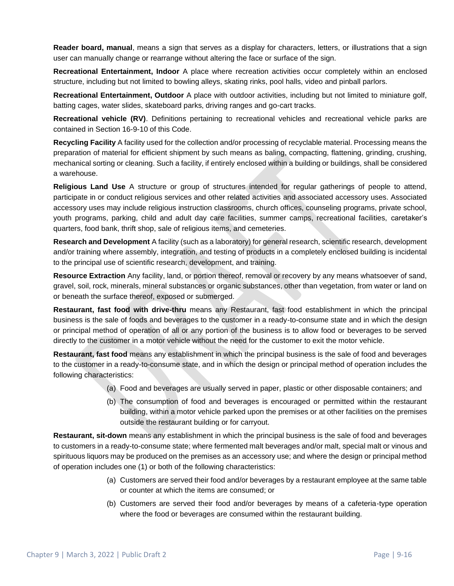**Reader board, manual**, means a sign that serves as a display for characters, letters, or illustrations that a sign user can manually change or rearrange without altering the face or surface of the sign.

**Recreational Entertainment, Indoor** A place where recreation activities occur completely within an enclosed structure, including but not limited to bowling alleys, skating rinks, pool halls, video and pinball parlors.

**Recreational Entertainment, Outdoor** A place with outdoor activities, including but not limited to miniature golf, batting cages, water slides, skateboard parks, driving ranges and go-cart tracks.

**Recreational vehicle (RV)**. Definitions pertaining to recreational vehicles and recreational vehicle parks are contained in Section 16-9-10 of this Code.

**Recycling Facility** A facility used for the collection and/or processing of recyclable material. Processing means the preparation of material for efficient shipment by such means as baling, compacting, flattening, grinding, crushing, mechanical sorting or cleaning. Such a facility, if entirely enclosed within a building or buildings, shall be considered a warehouse.

**Religious Land Use** A structure or group of structures intended for regular gatherings of people to attend, participate in or conduct religious services and other related activities and associated accessory uses. Associated accessory uses may include religious instruction classrooms, church offices, counseling programs, private school, youth programs, parking, child and adult day care facilities, summer camps, recreational facilities, caretaker's quarters, food bank, thrift shop, sale of religious items, and cemeteries.

**Research and Development** A facility (such as a laboratory) for general research, scientific research, development and/or training where assembly, integration, and testing of products in a completely enclosed building is incidental to the principal use of scientific research, development, and training.

**Resource Extraction** Any facility, land, or portion thereof, removal or recovery by any means whatsoever of sand, gravel, soil, rock, minerals, mineral substances or organic substances, other than vegetation, from water or land on or beneath the surface thereof, exposed or submerged.

**Restaurant, fast food with drive-thru** means any Restaurant, fast food establishment in which the principal business is the sale of foods and beverages to the customer in a ready-to-consume state and in which the design or principal method of operation of all or any portion of the business is to allow food or beverages to be served directly to the customer in a motor vehicle without the need for the customer to exit the motor vehicle.

**Restaurant, fast food** means any establishment in which the principal business is the sale of food and beverages to the customer in a ready-to-consume state, and in which the design or principal method of operation includes the following characteristics:

- (a) Food and beverages are usually served in paper, plastic or other disposable containers; and
- (b) The consumption of food and beverages is encouraged or permitted within the restaurant building, within a motor vehicle parked upon the premises or at other facilities on the premises outside the restaurant building or for carryout.

**Restaurant, sit-down** means any establishment in which the principal business is the sale of food and beverages to customers in a ready-to-consume state; where fermented malt beverages and/or malt, special malt or vinous and spirituous liquors may be produced on the premises as an accessory use; and where the design or principal method of operation includes one (1) or both of the following characteristics:

- (a) Customers are served their food and/or beverages by a restaurant employee at the same table or counter at which the items are consumed; or
- (b) Customers are served their food and/or beverages by means of a cafeteria-type operation where the food or beverages are consumed within the restaurant building.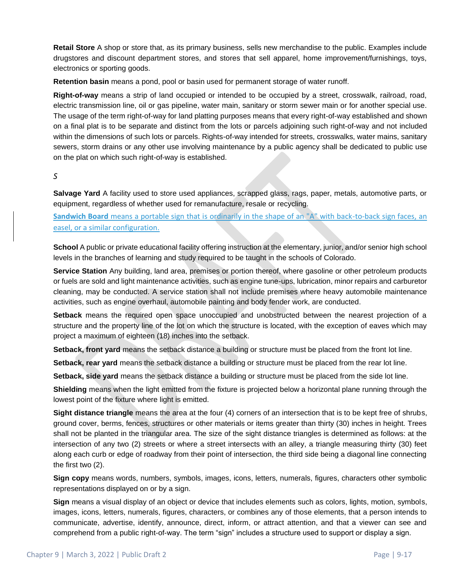**Retail Store** A shop or store that, as its primary business, sells new merchandise to the public. Examples include drugstores and discount department stores, and stores that sell apparel, home improvement/furnishings, toys, electronics or sporting goods.

**Retention basin** means a pond, pool or basin used for permanent storage of water runoff.

**Right-of-way** means a strip of land occupied or intended to be occupied by a street, crosswalk, railroad, road, electric transmission line, oil or gas pipeline, water main, sanitary or storm sewer main or for another special use. The usage of the term right-of-way for land platting purposes means that every right-of-way established and shown on a final plat is to be separate and distinct from the lots or parcels adjoining such right-of-way and not included within the dimensions of such lots or parcels. Rights-of-way intended for streets, crosswalks, water mains, sanitary sewers, storm drains or any other use involving maintenance by a public agency shall be dedicated to public use on the plat on which such right-of-way is established.

#### *S*

**Salvage Yard** A facility used to store used appliances, scrapped glass, rags, paper, metals, automotive parts, or equipment, regardless of whether used for remanufacture, resale or recycling.

**Sandwich Board** means a portable sign that is ordinarily in the shape of an "A" with back-to-back sign faces, an easel, or a similar configuration.

**School** A public or private educational facility offering instruction at the elementary, junior, and/or senior high school levels in the branches of learning and study required to be taught in the schools of Colorado.

**Service Station** Any building, land area, premises or portion thereof, where gasoline or other petroleum products or fuels are sold and light maintenance activities, such as engine tune-ups, lubrication, minor repairs and carburetor cleaning, may be conducted. A service station shall not include premises where heavy automobile maintenance activities, such as engine overhaul, automobile painting and body fender work, are conducted.

**Setback** means the required open space unoccupied and unobstructed between the nearest projection of a structure and the property line of the lot on which the structure is located, with the exception of eaves which may project a maximum of eighteen (18) inches into the setback.

**Setback, front yard** means the setback distance a building or structure must be placed from the front lot line.

**Setback, rear yard** means the setback distance a building or structure must be placed from the rear lot line.

**Setback, side yard** means the setback distance a building or structure must be placed from the side lot line.

**Shielding** means when the light emitted from the fixture is projected below a horizontal plane running through the lowest point of the fixture where light is emitted.

**Sight distance triangle** means the area at the four (4) corners of an intersection that is to be kept free of shrubs, ground cover, berms, fences, structures or other materials or items greater than thirty (30) inches in height. Trees shall not be planted in the triangular area. The size of the sight distance triangles is determined as follows: at the intersection of any two (2) streets or where a street intersects with an alley, a triangle measuring thirty (30) feet along each curb or edge of roadway from their point of intersection, the third side being a diagonal line connecting the first two (2).

**Sign copy** means words, numbers, symbols, images, icons, letters, numerals, figures, characters other symbolic representations displayed on or by a sign.

**Sign** means a visual display of an object or device that includes elements such as colors, lights, motion, symbols, images, icons, letters, numerals, figures, characters, or combines any of those elements, that a person intends to communicate, advertise, identify, announce, direct, inform, or attract attention, and that a viewer can see and comprehend from a public right-of-way. The term "sign" includes a structure used to support or display a sign.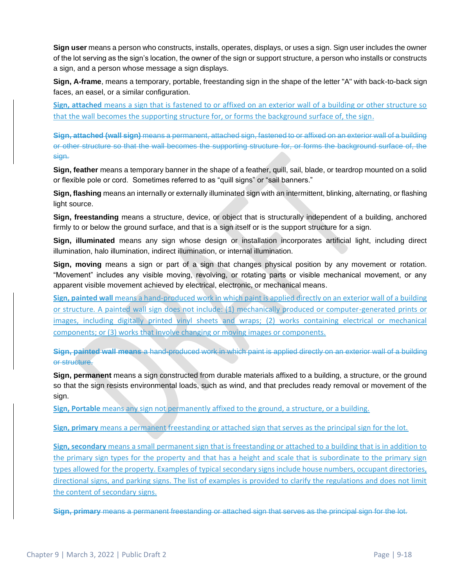**Sign user** means a person who constructs, installs, operates, displays, or uses a sign. Sign user includes the owner of the lot serving as the sign's location, the owner of the sign or support structure, a person who installs or constructs a sign, and a person whose message a sign displays.

**Sign, A-frame**, means a temporary, portable, freestanding sign in the shape of the letter "A" with back-to-back sign faces, an easel, or a similar configuration.

**Sign, attached** means a sign that is fastened to or affixed on an exterior wall of a building or other structure so that the wall becomes the supporting structure for, or forms the background surface of, the sign.

**Sign, attached (wall sign)** means a permanent, attached sign, fastened to or affixed on an exterior wall of a building or other structure so that the wall becomes the supporting structure for, or forms the background surface of, the sign.

**Sign, feather** means a temporary banner in the shape of a feather, quill, sail, blade, or teardrop mounted on a solid or flexible pole or cord. Sometimes referred to as "quill signs" or "sail banners."

**Sign, flashing** means an internally or externally illuminated sign with an intermittent, blinking, alternating, or flashing light source.

**Sign, freestanding** means a structure, device, or object that is structurally independent of a building, anchored firmly to or below the ground surface, and that is a sign itself or is the support structure for a sign.

**Sign, illuminated** means any sign whose design or installation incorporates artificial light, including direct illumination, halo illumination, indirect illumination, or internal illumination.

**Sign, moving** means a sign or part of a sign that changes physical position by any movement or rotation. "Movement" includes any visible moving, revolving, or rotating parts or visible mechanical movement, or any apparent visible movement achieved by electrical, electronic, or mechanical means.

**Sign, painted wall** means a hand-produced work in which paint is applied directly on an exterior wall of a building or structure. A painted wall sign does not include: (1) mechanically produced or computer-generated prints or images, including digitally printed vinyl sheets and wraps; (2) works containing electrical or mechanical components; or (3) works that involve changing or moving images or components.

**Sign, painted wall means** a hand-produced work in which paint is applied directly on an exterior wall of a building or structure.

**Sign, permanent** means a sign constructed from durable materials affixed to a building, a structure, or the ground so that the sign resists environmental loads, such as wind, and that precludes ready removal or movement of the sign.

**Sign, Portable** means any sign not permanently affixed to the ground, a structure, or a building.

**Sign, primary** means a permanent freestanding or attached sign that serves as the principal sign for the lot.

**Sign, secondary** means a small permanent sign that is freestanding or attached to a building that is in addition to the primary sign types for the property and that has a height and scale that is subordinate to the primary sign types allowed for the property. Examples of typical secondary signs include house numbers, occupant directories, directional signs, and parking signs. The list of examples is provided to clarify the regulations and does not limit the content of secondary signs.

**Sign, primary** means a permanent freestanding or attached sign that serves as the principal sign for the lot.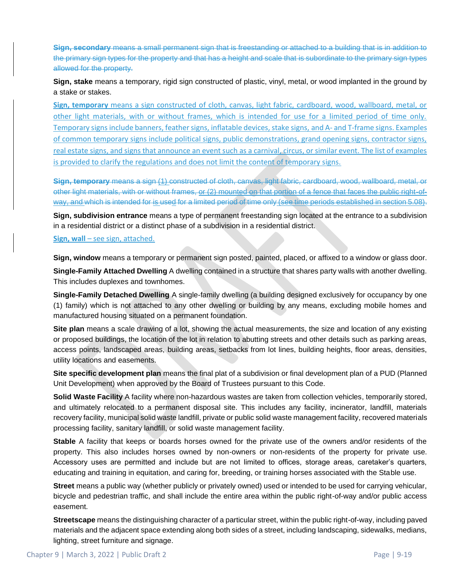**Sign, secondary** means a small permanent sign that is freestanding or attached to a building that is in addition to the primary sign types for the property and that has a height and scale that is subordinate to the primary sign types allowed for the property.

**Sign, stake** means a temporary, rigid sign constructed of plastic, vinyl, metal, or wood implanted in the ground by a stake or stakes.

**Sign, temporary** means a sign constructed of cloth, canvas, light fabric, cardboard, wood, wallboard, metal, or other light materials, with or without frames, which is intended for use for a limited period of time only. Temporary signs include banners, feather signs, inflatable devices, stake signs, and A- and T-frame signs. Examples of common temporary signs include political signs, public demonstrations, grand opening signs, contractor signs, real estate signs, and signs that announce an event such as a carnival, circus, or similar event. The list of examples is provided to clarify the regulations and does not limit the content of temporary signs.

**Sign, temporary** means a sign (1) constructed of cloth, canvas, light fabric, cardboard, wood, wallboard, metal, or other light materials, with or without frames, or (2) mounted on that portion of a fence that faces the public right-ofway, and which is intended for is used for a limited period of time only (see time periods established in section 5.08).

**Sign, subdivision entrance** means a type of permanent freestanding sign located at the entrance to a subdivision in a residential district or a distinct phase of a subdivision in a residential district.

#### **Sign, wall** – see sign, attached.

**Sign, window** means a temporary or permanent sign posted, painted, placed, or affixed to a window or glass door.

**Single-Family Attached Dwelling** A dwelling contained in a structure that shares party walls with another dwelling. This includes duplexes and townhomes.

**Single-Family Detached Dwelling** A single-family dwelling (a building designed exclusively for occupancy by one (1) family) which is not attached to any other dwelling or building by any means, excluding mobile homes and manufactured housing situated on a permanent foundation.

**Site plan** means a scale drawing of a lot, showing the actual measurements, the size and location of any existing or proposed buildings, the location of the lot in relation to abutting streets and other details such as parking areas, access points, landscaped areas, building areas, setbacks from lot lines, building heights, floor areas, densities, utility locations and easements.

**Site specific development plan** means the final plat of a subdivision or final development plan of a PUD (Planned Unit Development) when approved by the Board of Trustees pursuant to this Code.

**Solid Waste Facility** A facility where non-hazardous wastes are taken from collection vehicles, temporarily stored, and ultimately relocated to a permanent disposal site. This includes any facility, incinerator, landfill, materials recovery facility, municipal solid waste landfill, private or public solid waste management facility, recovered materials processing facility, sanitary landfill, or solid waste management facility.

**Stable** A facility that keeps or boards horses owned for the private use of the owners and/or residents of the property. This also includes horses owned by non-owners or non-residents of the property for private use. Accessory uses are permitted and include but are not limited to offices, storage areas, caretaker's quarters, educating and training in equitation, and caring for, breeding, or training horses associated with the Stable use.

**Street** means a public way (whether publicly or privately owned) used or intended to be used for carrying vehicular, bicycle and pedestrian traffic, and shall include the entire area within the public right-of-way and/or public access easement.

**Streetscape** means the distinguishing character of a particular street, within the public right-of-way, including paved materials and the adjacent space extending along both sides of a street, including landscaping, sidewalks, medians, lighting, street furniture and signage.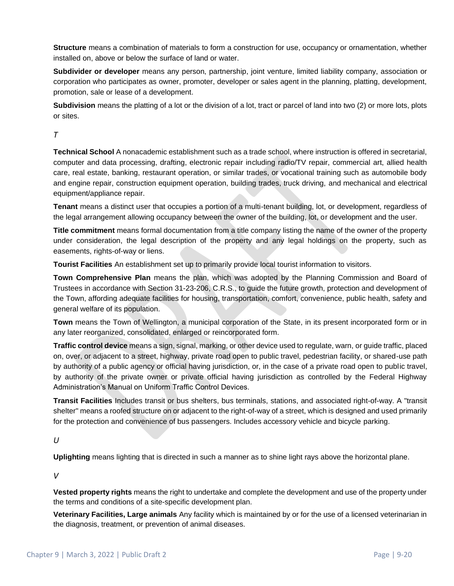**Structure** means a combination of materials to form a construction for use, occupancy or ornamentation, whether installed on, above or below the surface of land or water.

**Subdivider or developer** means any person, partnership, joint venture, limited liability company, association or corporation who participates as owner, promoter, developer or sales agent in the planning, platting, development, promotion, sale or lease of a development.

**Subdivision** means the platting of a lot or the division of a lot, tract or parcel of land into two (2) or more lots, plots or sites.

*T*

**Technical School** A nonacademic establishment such as a trade school, where instruction is offered in secretarial, computer and data processing, drafting, electronic repair including radio/TV repair, commercial art, allied health care, real estate, banking, restaurant operation, or similar trades, or vocational training such as automobile body and engine repair, construction equipment operation, building trades, truck driving, and mechanical and electrical equipment/appliance repair.

**Tenant** means a distinct user that occupies a portion of a multi-tenant building, lot, or development, regardless of the legal arrangement allowing occupancy between the owner of the building, lot, or development and the user.

**Title commitment** means formal documentation from a title company listing the name of the owner of the property under consideration, the legal description of the property and any legal holdings on the property, such as easements, rights-of-way or liens.

**Tourist Facilities** An establishment set up to primarily provide local tourist information to visitors.

**Town Comprehensive Plan** means the plan, which was adopted by the Planning Commission and Board of Trustees in accordance with Section 31-23-206, C.R.S., to guide the future growth, protection and development of the Town, affording adequate facilities for housing, transportation, comfort, convenience, public health, safety and general welfare of its population.

**Town** means the Town of Wellington, a municipal corporation of the State, in its present incorporated form or in any later reorganized, consolidated, enlarged or reincorporated form.

**Traffic control device** means a sign, signal, marking, or other device used to regulate, warn, or guide traffic, placed on, over, or adjacent to a street, highway, private road open to public travel, pedestrian facility, or shared-use path by authority of a public agency or official having jurisdiction, or, in the case of a private road open to public travel, by authority of the private owner or private official having jurisdiction as controlled by the Federal Highway Administration's Manual on Uniform Traffic Control Devices.

**Transit Facilities** Includes transit or bus shelters, bus terminals, stations, and associated right-of-way. A "transit shelter" means a roofed structure on or adjacent to the right-of-way of a street, which is designed and used primarily for the protection and convenience of bus passengers. Includes accessory vehicle and bicycle parking.

*U*

**Uplighting** means lighting that is directed in such a manner as to shine light rays above the horizontal plane.

*V*

**Vested property rights** means the right to undertake and complete the development and use of the property under the terms and conditions of a site-specific development plan.

**Veterinary Facilities, Large animals** Any facility which is maintained by or for the use of a licensed veterinarian in the diagnosis, treatment, or prevention of animal diseases.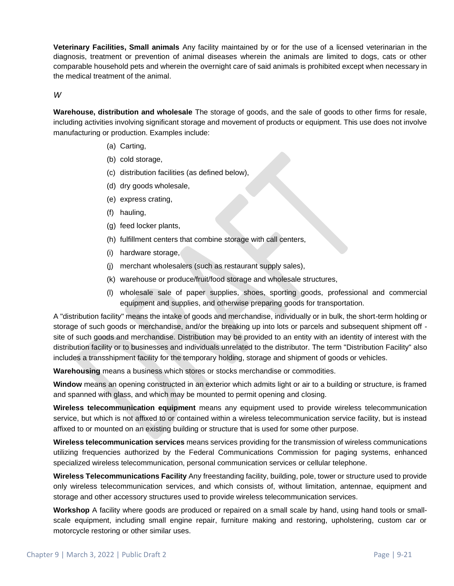**Veterinary Facilities, Small animals** Any facility maintained by or for the use of a licensed veterinarian in the diagnosis, treatment or prevention of animal diseases wherein the animals are limited to dogs, cats or other comparable household pets and wherein the overnight care of said animals is prohibited except when necessary in the medical treatment of the animal.

*W*

**Warehouse, distribution and wholesale** The storage of goods, and the sale of goods to other firms for resale, including activities involving significant storage and movement of products or equipment. This use does not involve manufacturing or production. Examples include:

- (a) Carting,
- (b) cold storage,
- (c) distribution facilities (as defined below),
- (d) dry goods wholesale,
- (e) express crating,
- (f) hauling,
- (g) feed locker plants,
- (h) fulfillment centers that combine storage with call centers,
- (i) hardware storage,
- (j) merchant wholesalers (such as restaurant supply sales),
- (k) warehouse or produce/fruit/food storage and wholesale structures,
- (l) wholesale sale of paper supplies, shoes, sporting goods, professional and commercial equipment and supplies, and otherwise preparing goods for transportation.

A "distribution facility" means the intake of goods and merchandise, individually or in bulk, the short-term holding or storage of such goods or merchandise, and/or the breaking up into lots or parcels and subsequent shipment off site of such goods and merchandise. Distribution may be provided to an entity with an identity of interest with the distribution facility or to businesses and individuals unrelated to the distributor. The term "Distribution Facility" also includes a transshipment facility for the temporary holding, storage and shipment of goods or vehicles.

**Warehousing** means a business which stores or stocks merchandise or commodities.

**Window** means an opening constructed in an exterior which admits light or air to a building or structure, is framed and spanned with glass, and which may be mounted to permit opening and closing.

**Wireless telecommunication equipment** means any equipment used to provide wireless telecommunication service, but which is not affixed to or contained within a wireless telecommunication service facility, but is instead affixed to or mounted on an existing building or structure that is used for some other purpose.

**Wireless telecommunication services** means services providing for the transmission of wireless communications utilizing frequencies authorized by the Federal Communications Commission for paging systems, enhanced specialized wireless telecommunication, personal communication services or cellular telephone.

**Wireless Telecommunications Facility** Any freestanding facility, building, pole, tower or structure used to provide only wireless telecommunication services, and which consists of, without limitation, antennae, equipment and storage and other accessory structures used to provide wireless telecommunication services.

**Workshop** A facility where goods are produced or repaired on a small scale by hand, using hand tools or smallscale equipment, including small engine repair, furniture making and restoring, upholstering, custom car or motorcycle restoring or other similar uses.